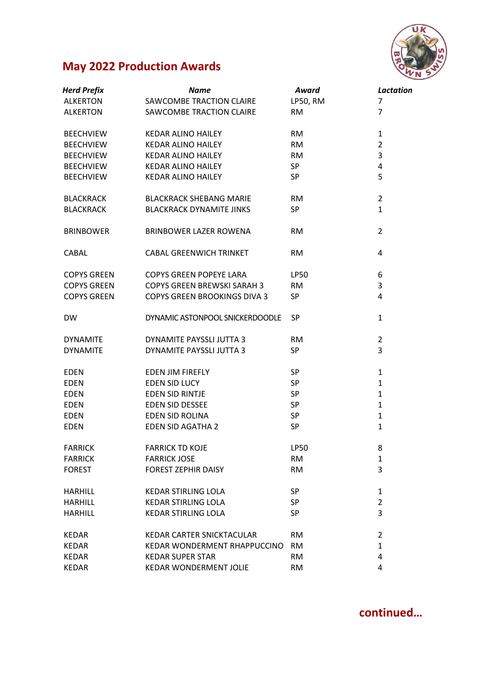

## **May 2022 Production Awards**

| <b>Herd Prefix</b> | Name                                | Award           | <b>Lactation</b> |
|--------------------|-------------------------------------|-----------------|------------------|
| <b>ALKERTON</b>    | SAWCOMBE TRACTION CLAIRE            | <b>LP50, RM</b> | $\overline{7}$   |
| <b>ALKERTON</b>    | SAWCOMBE TRACTION CLAIRE            | <b>RM</b>       | $\overline{7}$   |
| <b>BEECHVIEW</b>   | <b>KEDAR ALINO HAILEY</b>           | <b>RM</b>       | $\mathbf{1}$     |
| <b>BEECHVIEW</b>   | <b>KEDAR ALINO HAILEY</b>           | <b>RM</b>       | $\overline{2}$   |
| <b>BEECHVIEW</b>   | <b>KEDAR ALINO HAILEY</b>           | <b>RM</b>       | 3                |
| <b>BEECHVIEW</b>   | <b>KEDAR ALINO HAILEY</b>           | SP              | 4                |
| <b>BEECHVIEW</b>   | <b>KEDAR ALINO HAILEY</b>           | SP              | 5                |
| <b>BLACKRACK</b>   | <b>BLACKRACK SHEBANG MARIE</b>      | <b>RM</b>       | $\overline{2}$   |
| <b>BLACKRACK</b>   | <b>BLACKRACK DYNAMITE JINKS</b>     | <b>SP</b>       | $\mathbf{1}$     |
| <b>BRINBOWER</b>   | <b>BRINBOWER LAZER ROWENA</b>       | <b>RM</b>       | 2                |
| <b>CABAL</b>       | <b>CABAL GREENWICH TRINKET</b>      | <b>RM</b>       | 4                |
| <b>COPYS GREEN</b> | <b>COPYS GREEN POPEYE LARA</b>      | <b>LP50</b>     | 6                |
| <b>COPYS GREEN</b> | <b>COPYS GREEN BREWSKI SARAH 3</b>  | <b>RM</b>       | 3                |
| <b>COPYS GREEN</b> | <b>COPYS GREEN BROOKINGS DIVA 3</b> | <b>SP</b>       | 4                |
| <b>DW</b>          | DYNAMIC ASTONPOOL SNICKERDOODLE     | <b>SP</b>       | 1                |
| <b>DYNAMITE</b>    | DYNAMITE PAYSSLI JUTTA 3            | <b>RM</b>       | $\overline{2}$   |
| <b>DYNAMITE</b>    | DYNAMITE PAYSSLI JUTTA 3            | <b>SP</b>       | 3                |
| <b>EDEN</b>        | <b>EDEN JIM FIREFLY</b>             | SP              | $\mathbf{1}$     |
| <b>EDEN</b>        | EDEN SID LUCY                       | SP              | $\mathbf{1}$     |
| <b>EDEN</b>        | EDEN SID RINTJE                     | SP              | $\mathbf{1}$     |
| <b>EDEN</b>        | EDEN SID DESSEE                     | <b>SP</b>       | 1                |
| <b>EDEN</b>        | EDEN SID ROLINA                     | SP              | $\mathbf{1}$     |
| <b>EDEN</b>        | <b>EDEN SID AGATHA 2</b>            | <b>SP</b>       | $\mathbf{1}$     |
| <b>FARRICK</b>     | <b>FARRICK TD KOJE</b>              | LP50            | 8                |
| <b>FARRICK</b>     | <b>FARRICK JOSE</b>                 | <b>RM</b>       | $\mathbf{1}$     |
| <b>FOREST</b>      | <b>FOREST ZEPHIR DAISY</b>          | <b>RM</b>       | 3                |
| <b>HARHILL</b>     | <b>KEDAR STIRLING LOLA</b>          | SP              | $\mathbf{1}$     |
| <b>HARHILL</b>     | <b>KEDAR STIRLING LOLA</b>          | SP              | $\overline{2}$   |
| <b>HARHILL</b>     | <b>KEDAR STIRLING LOLA</b>          | <b>SP</b>       | 3                |
| <b>KEDAR</b>       | KEDAR CARTER SNICKTACULAR           | <b>RM</b>       | $\overline{2}$   |
| <b>KEDAR</b>       | <b>KEDAR WONDERMENT RHAPPUCCINO</b> | <b>RM</b>       | 1                |
| <b>KEDAR</b>       | <b>KEDAR SUPER STAR</b>             | <b>RM</b>       | 4                |
| <b>KEDAR</b>       | <b>KEDAR WONDERMENT JOLIE</b>       | <b>RM</b>       | 4                |

**continued…**